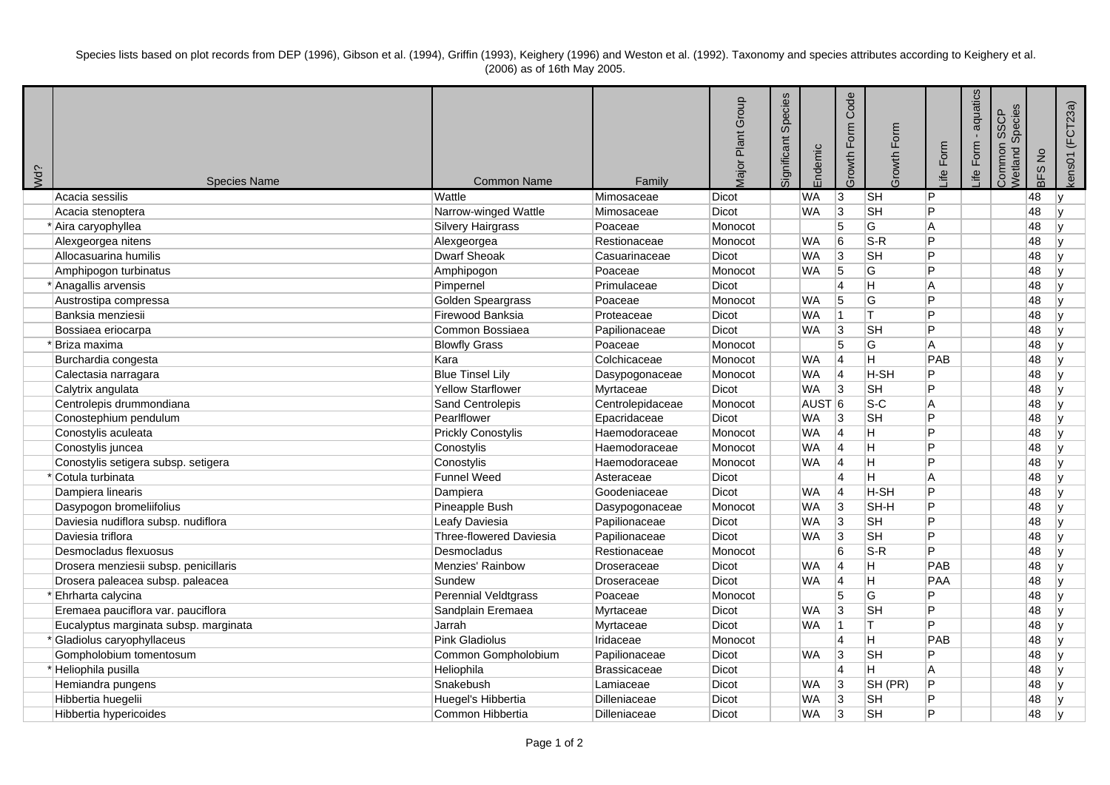Species lists based on plot records from DEP (1996), Gibson et al. (1994), Griffin (1993), Keighery (1996) and Weston et al. (1992). Taxonomy and species attributes according to Keighery et al. (2006) as of 16th May 2005.

| Wd? | <b>Species Name</b>                   | <b>Common Name</b>          | Family              | Major Plant Group | Species<br>Significant | Endemic           | Code<br>Growth Form | Growth Form              | Form<br>≞i   | aquatics<br>$\mathbf{r}$<br>Life Form | Species<br><b>SSCP</b><br>Common<br>Netland | $\frac{1}{2}$<br>BFS | kens01 (FCT23a) |
|-----|---------------------------------------|-----------------------------|---------------------|-------------------|------------------------|-------------------|---------------------|--------------------------|--------------|---------------------------------------|---------------------------------------------|----------------------|-----------------|
|     | Acacia sessilis                       | Wattle                      | Mimosaceae          | <b>Dicot</b>      |                        | WA                | 3                   | $\overline{\mathsf{SH}}$ | P            |                                       |                                             | 48                   | I۷              |
|     | Acacia stenoptera                     | Narrow-winged Wattle        | Mimosaceae          | Dicot             |                        | <b>WA</b>         | 3                   | <b>SH</b>                | P            |                                       |                                             | 48                   | l٧              |
|     | * Aira caryophyllea                   | Silvery Hairgrass           | Poaceae             | Monocot           |                        |                   | 5                   | G                        | A            |                                       |                                             | 48                   | l٧              |
|     | Alexgeorgea nitens                    | Alexgeorgea                 | Restionaceae        | Monocot           |                        | <b>WA</b>         | 6                   | $S-R$                    | P            |                                       |                                             | 48                   | ١v              |
|     | Allocasuarina humilis                 | <b>Dwarf Sheoak</b>         | Casuarinaceae       | Dicot             |                        | <b>WA</b>         | 3                   | <b>SH</b>                | P            |                                       |                                             | 48                   | l٧              |
|     | Amphipogon turbinatus                 | Amphipogon                  | Poaceae             | Monocot           |                        | <b>WA</b>         | 5                   | G                        | P            |                                       |                                             | 48                   | l v             |
|     | * Anagallis arvensis                  | Pimpernel                   | Primulaceae         | Dicot             |                        |                   | $\overline{4}$      |                          | A            |                                       |                                             | 48                   | ١v              |
|     | Austrostipa compressa                 | Golden Speargrass           | Poaceae             | Monocot           |                        | <b>WA</b>         | 5                   | G                        | P            |                                       |                                             | 48                   |                 |
|     | Banksia menziesii                     | Firewood Banksia            | Proteaceae          | Dicot             |                        | <b>WA</b>         | 11                  | lτ                       | P            |                                       |                                             | 48                   | l٧              |
|     | Bossiaea eriocarpa                    | Common Bossiaea             | Papilionaceae       | Dicot             |                        | WA                | 3                   | <b>SH</b>                | P            |                                       |                                             | 48                   | lv.             |
|     | 'Briza maxima                         | <b>Blowfly Grass</b>        | Poaceae             | Monocot           |                        |                   | 5                   | G                        | A            |                                       |                                             | 48                   | ۱v              |
|     | Burchardia congesta                   | Kara                        | Colchicaceae        | Monocot           |                        | <b>WA</b>         | 14                  | Η                        | PAB          |                                       |                                             | 48                   | ۱v              |
|     | Calectasia narragara                  | <b>Blue Tinsel Lily</b>     | Dasypogonaceae      | Monocot           |                        | <b>WA</b>         | 14                  | H-SH                     | P            |                                       |                                             | 48                   | ۱v              |
|     | Calytrix angulata                     | Yellow Starflower           | Myrtaceae           | Dicot             |                        | <b>WA</b>         | Ι3                  | <b>SH</b>                | P            |                                       |                                             | 48                   | ۱v              |
|     | Centrolepis drummondiana              | Sand Centrolepis            | Centrolepidaceae    | Monocot           |                        | AUST <sub>6</sub> |                     | $S-C$                    | A            |                                       |                                             | 48                   | ١v              |
|     | Conostephium pendulum                 | Pearlflower                 | Epacridaceae        | Dicot             |                        | <b>WA</b>         | 3                   | <b>SH</b>                | P            |                                       |                                             | 48                   | ۱v              |
|     | Conostylis aculeata                   | <b>Prickly Conostylis</b>   | Haemodoraceae       | Monocot           |                        | <b>WA</b>         | 14                  | н                        | P            |                                       |                                             | 48                   | I۷              |
|     | Conostylis juncea                     | Conostylis                  | Haemodoraceae       | Monocot           |                        | <b>WA</b>         | 14                  | H                        | P            |                                       |                                             | 48                   | ۱v              |
|     | Conostylis setigera subsp. setigera   | Conostylis                  | Haemodoraceae       | Monocot           |                        | <b>WA</b>         | 14                  | н                        | P            |                                       |                                             | 48                   | ١v              |
|     | *Cotula turbinata                     | <b>Funnel Weed</b>          | Asteraceae          | Dicot             |                        |                   | $\overline{4}$      | Η                        | A            |                                       |                                             | 48                   | l v             |
|     | Dampiera linearis                     | Dampiera                    | Goodeniaceae        | Dicot             |                        | <b>WA</b>         | 4                   | H-SH                     | P            |                                       |                                             | 48                   | l٧              |
|     | Dasypogon bromeliifolius              | Pineapple Bush              | Dasypogonaceae      | Monocot           |                        | <b>WA</b>         | 3                   | SH-H                     | $\mathsf{P}$ |                                       |                                             | 48                   | lv.             |
|     | Daviesia nudiflora subsp. nudiflora   | Leafy Daviesia              | Papilionaceae       | Dicot             |                        | <b>WA</b>         | 3                   | <b>SH</b>                | P            |                                       |                                             | 48                   | ١v              |
|     | Daviesia triflora                     | Three-flowered Daviesia     | Papilionaceae       | Dicot             |                        | <b>WA</b>         | 3                   | <b>SH</b>                | P            |                                       |                                             | 48                   | lv.             |
|     | Desmocladus flexuosus                 | Desmocladus                 | Restionaceae        | Monocot           |                        |                   | 6                   | $S-R$                    | P            |                                       |                                             | 48                   | l٧              |
|     | Drosera menziesii subsp. penicillaris | Menzies' Rainbow            | Droseraceae         | Dicot             |                        | WA                | 4                   | H                        | PAB          |                                       |                                             | 48                   | ١v              |
|     | Drosera paleacea subsp. paleacea      | Sundew                      | Droseraceae         | <b>Dicot</b>      |                        | <b>WA</b>         | 14                  | Η                        | PAA          |                                       |                                             | 48                   | ۱v              |
|     | Ehrharta calycina                     | <b>Perennial Veldtgrass</b> | Poaceae             | Monocot           |                        |                   | 5                   | G                        | P            |                                       |                                             | 48                   | ۱v              |
|     | Eremaea pauciflora var. pauciflora    | Sandplain Eremaea           | Myrtaceae           | Dicot             |                        | <b>WA</b>         | 3                   | <b>SH</b>                | P            |                                       |                                             | 48                   | ۱v              |
|     | Eucalyptus marginata subsp. marginata | Jarrah                      | Myrtaceae           | <b>Dicot</b>      |                        | <b>WA</b>         | 11                  | lΤ                       | P            |                                       |                                             | 48                   | ۱v              |
|     | *Gladiolus caryophyllaceus            | <b>Pink Gladiolus</b>       | Iridaceae           | Monocot           |                        |                   | $\overline{4}$      | Η                        | PAB          |                                       |                                             | 48                   | ۱v              |
|     | Gompholobium tomentosum               | Common Gompholobium         | Papilionaceae       | Dicot             |                        | <b>WA</b>         | 3                   | <b>SH</b>                | P            |                                       |                                             | 48                   | ۱v              |
|     | *Heliophila pusilla                   | Heliophila                  | <b>Brassicaceae</b> | Dicot             |                        |                   | $\overline{4}$      | н                        | A            |                                       |                                             | 48                   | ۱v              |
|     | Hemiandra pungens                     | Snakebush                   | Lamiaceae           | Dicot             |                        | WA                | 3                   | SH (PR)                  | P            |                                       |                                             | 48                   | lv.             |
|     | Hibbertia huegelii                    | Huegel's Hibbertia          | Dilleniaceae        | Dicot             |                        | WA                | 3                   | <b>SH</b>                | P            |                                       |                                             | 48                   | ١v              |
|     | Hibbertia hypericoides                | Common Hibbertia            | Dilleniaceae        | <b>Dicot</b>      |                        | <b>WA</b>         | 3                   | <b>SH</b>                | P            |                                       |                                             | 48                   | ١v              |